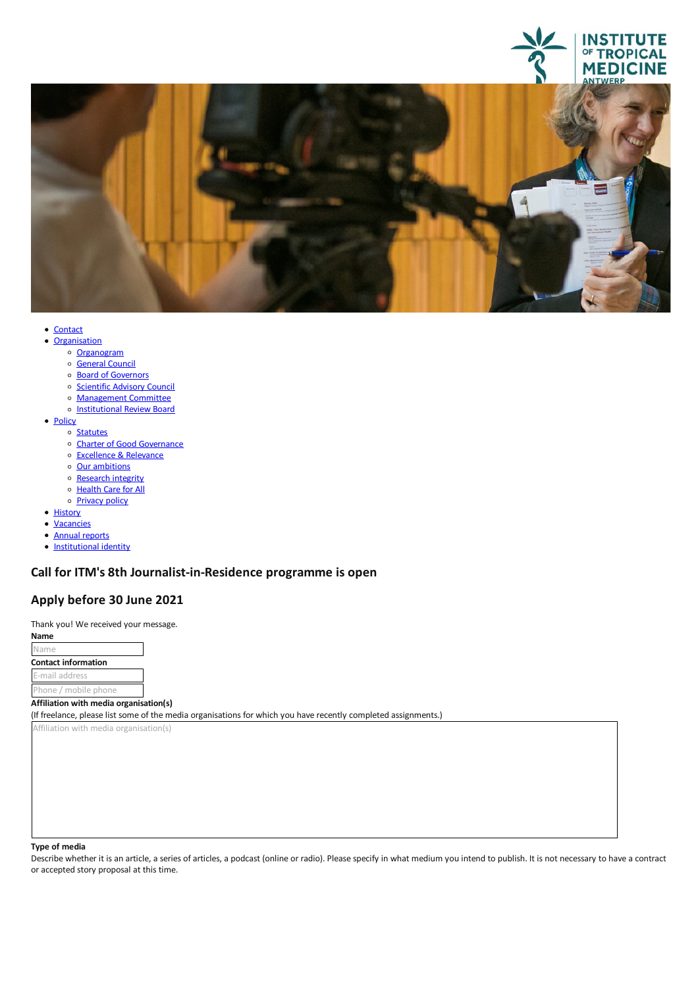



- <u>[Contact](file:///E/contact)</u><br>• <u>Organisation</u>
	- - o [Organogram](https://www.itg.be/Files/docs/organogram-EN.pdf)
		- o [General](file:///E/general-council) Council
		- o Board of [Governors](file:///E/about-us/board-of-governors)
		- o [Scientific](file:///E/scientific-advisory-council) Advisory Council
		- [Management](file:///E/management-board) Committee
		- o [Institutional](file:///E/institutional-review-board) Review Board
- [Policy](javascript:void(0))
	- o [Statutes](file:///E/statutes)
	- Charter of Good [Governance](file:///E/charter-of-good-governance)
	- [Excellence](file:///E/excellence--relevance) & Relevance<br>○ Our ambitions
	-
	- [Research](file:///E/research-integrity) integrity
	- o [Health](file:///E/health-care-for-all) Care for All
	- o **[Privacy](file:///E/privacy) policy**
- [History](file:///E/history)
- [Vacancies](file:///E/vacancies)
- Annual [reports](file:///E/about-us/annual-reports)
- [Institutional](file:///E/institutional-identity) identity
- 

# **Call for ITM's 8th Journalist-in-Residence programme is open**

# **Apply before 30 June 2021**

Thank you! We received your message. **Name**

Name **Contact information** E-mail address Phone / mobile phone

#### **Affiliation with media organisation(s)**

(If freelance, please list some of the media organisations for which you have recently completed assignments.)

Affiliation with media organisation(s)

**Type of media**<br>Describe whether it is an article, a series of articles, a podcast (online or radio). Please specify in what medium you intend to publish. It is not necessary to have a contract oraccepted story proposal at this time.